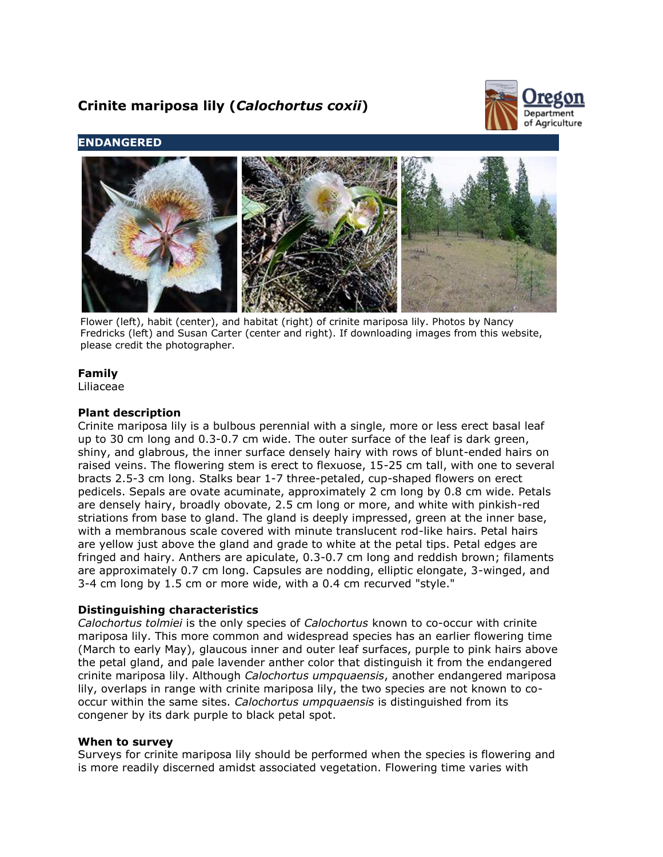# **Crinite mariposa lily (***Calochortus coxii***)**



# **ENDANGERED**



Flower (left), habit (center), and habitat (right) of crinite mariposa lily. Photos by Nancy Fredricks (left) and Susan Carter (center and right). If downloading images from this website, please credit the photographer.

# **Family**

Liliaceae

# **Plant description**

Crinite mariposa lily is a bulbous perennial with a single, more or less erect basal leaf up to 30 cm long and 0.3-0.7 cm wide. The outer surface of the leaf is dark green, shiny, and glabrous, the inner surface densely hairy with rows of blunt-ended hairs on raised veins. The flowering stem is erect to flexuose, 15-25 cm tall, with one to several bracts 2.5-3 cm long. Stalks bear 1-7 three-petaled, cup-shaped flowers on erect pedicels. Sepals are ovate acuminate, approximately 2 cm long by 0.8 cm wide. Petals are densely hairy, broadly obovate, 2.5 cm long or more, and white with pinkish-red striations from base to gland. The gland is deeply impressed, green at the inner base, with a membranous scale covered with minute translucent rod-like hairs. Petal hairs are yellow just above the gland and grade to white at the petal tips. Petal edges are fringed and hairy. Anthers are apiculate, 0.3-0.7 cm long and reddish brown; filaments are approximately 0.7 cm long. Capsules are nodding, elliptic elongate, 3-winged, and 3-4 cm long by 1.5 cm or more wide, with a 0.4 cm recurved "style."

# **Distinguishing characteristics**

*Calochortus tolmiei* is the only species of *Calochortus* known to co-occur with crinite mariposa lily. This more common and widespread species has an earlier flowering time (March to early May), glaucous inner and outer leaf surfaces, purple to pink hairs above the petal gland, and pale lavender anther color that distinguish it from the endangered crinite mariposa lily. Although *Calochortus umpquaensis*, another endangered mariposa lily, overlaps in range with crinite mariposa lily, the two species are not known to cooccur within the same sites. *Calochortus umpquaensis* is distinguished from its congener by its dark purple to black petal spot.

## **When to survey**

Surveys for crinite mariposa lily should be performed when the species is flowering and is more readily discerned amidst associated vegetation. Flowering time varies with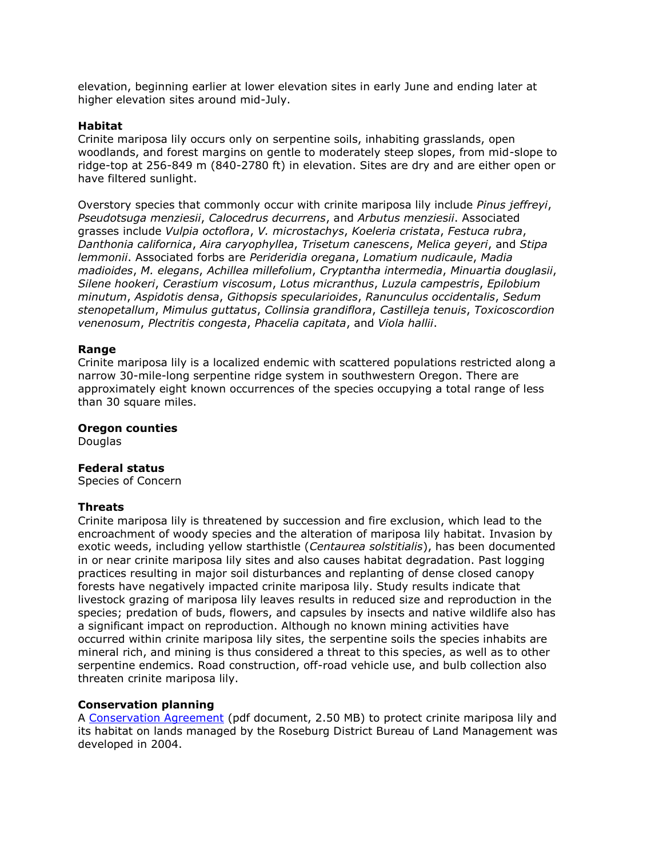elevation, beginning earlier at lower elevation sites in early June and ending later at higher elevation sites around mid-July.

#### **Habitat**

Crinite mariposa lily occurs only on serpentine soils, inhabiting grasslands, open woodlands, and forest margins on gentle to moderately steep slopes, from mid-slope to ridge-top at 256-849 m (840-2780 ft) in elevation. Sites are dry and are either open or have filtered sunlight.

Overstory species that commonly occur with crinite mariposa lily include *Pinus jeffreyi*, *Pseudotsuga menziesii*, *Calocedrus decurrens*, and *Arbutus menziesii*. Associated grasses include *Vulpia octoflora*, *V. microstachys*, *Koeleria cristata*, *Festuca rubra*, *Danthonia californica*, *Aira caryophyllea*, *Trisetum canescens*, *Melica geyeri*, and *Stipa lemmonii*. Associated forbs are *Perideridia oregana*, *Lomatium nudicaule*, *Madia madioides*, *M. elegans*, *Achillea millefolium*, *Cryptantha intermedia*, *Minuartia douglasii*, *Silene hookeri*, *Cerastium viscosum*, *Lotus micranthus*, *Luzula campestris*, *Epilobium minutum*, *Aspidotis densa*, *Githopsis specularioides*, *Ranunculus occidentalis*, *Sedum stenopetallum*, *Mimulus guttatus*, *Collinsia grandiflora*, *Castilleja tenuis*, *Toxicoscordion venenosum*, *Plectritis congesta*, *Phacelia capitata*, and *Viola hallii*.

#### **Range**

Crinite mariposa lily is a localized endemic with scattered populations restricted along a narrow 30-mile-long serpentine ridge system in southwestern Oregon. There are approximately eight known occurrences of the species occupying a total range of less than 30 square miles.

### **Oregon counties**

**Douglas** 

## **Federal status**

Species of Concern

#### **Threats**

Crinite mariposa lily is threatened by succession and fire exclusion, which lead to the encroachment of woody species and the alteration of mariposa lily habitat. Invasion by exotic weeds, including yellow starthistle (*Centaurea solstitialis*), has been documented in or near crinite mariposa lily sites and also causes habitat degradation. Past logging practices resulting in major soil disturbances and replanting of dense closed canopy forests have negatively impacted crinite mariposa lily. Study results indicate that livestock grazing of mariposa lily leaves results in reduced size and reproduction in the species; predation of buds, flowers, and capsules by insects and native wildlife also has a significant impact on reproduction. Although no known mining activities have occurred within crinite mariposa lily sites, the serpentine soils the species inhabits are mineral rich, and mining is thus considered a threat to this species, as well as to other serpentine endemics. Road construction, off-road vehicle use, and bulb collection also threaten crinite mariposa lily.

## **Conservation planning**

A [Conservation Agreement](http://ecos.fws.gov/docs/plan_documents/tcca/tcca_247.pdf) (pdf document, 2.50 MB) to protect crinite mariposa lily and its habitat on lands managed by the Roseburg District Bureau of Land Management was developed in 2004.